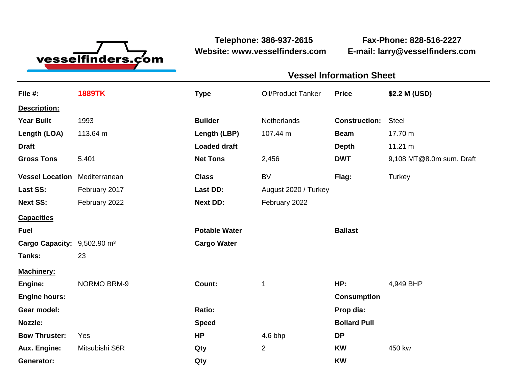

**Website: www.vesselfinders.com E-mail: larry@vesselfinders.com**

**Telephone: 386-937-2615 Fax-Phone: 828-516-2227**

| <u> 1989 - Andrea Stadt Britain, amerikansk politik (</u>                                                                                      |                                         | <b>Vessel Information Sheet</b>        |
|------------------------------------------------------------------------------------------------------------------------------------------------|-----------------------------------------|----------------------------------------|
| File #: 1889TK                                                                                                                                 |                                         | Oil/Product Tanker Price \$2.2 M (USD) |
|                                                                                                                                                |                                         |                                        |
| Exposit <mark>Description:</mark><br><b>Year Built</b> 1993<br><b>Length (LOA)</b> 113.64 m                                                    | Builder Metherlands Construction: Steel |                                        |
|                                                                                                                                                | Length (LBP) 107.44 m                   | <b>Beam</b> 17.70 m                    |
|                                                                                                                                                | <b>Loaded draft</b>                     | Depth 11.21 m                          |
| Draft<br>Gross Tons   5,401                                                                                                                    | <b>Net Tons</b>                         | DWT 9,108 MT@8.0m sum. Draft           |
|                                                                                                                                                |                                         |                                        |
|                                                                                                                                                | <b>Class</b>                            | BV Flag: Turkey                        |
| <b>Vessel Location</b> Mediterranean<br><b>Last SS:</b> February 2017<br>Next SS: February 2022                                                | August 2020 / Turkey<br><b>Last DD:</b> |                                        |
|                                                                                                                                                | <b>Next DD:</b><br>February 2022        |                                        |
|                                                                                                                                                |                                         |                                        |
|                                                                                                                                                | <b>Potable Water</b>                    | <b>Ballast</b>                         |
|                                                                                                                                                | <b>Cargo Water</b>                      |                                        |
|                                                                                                                                                |                                         |                                        |
|                                                                                                                                                |                                         |                                        |
| Machinery:<br>Engine: NORMO BRM-9<br>Engine hours:<br>Gear model:<br>Nozzle:<br>Bow Thruster: Yes<br>Aux. Engine: Mitsubishi S6R<br>Generator: | <b>Count:</b>                           | HP: 4,949 BHP                          |
|                                                                                                                                                |                                         | Consumption                            |
|                                                                                                                                                |                                         | Prop dia:                              |
|                                                                                                                                                | <b>Speed</b>                            | <b>Bollard Pull</b>                    |
|                                                                                                                                                | 4.6 bhp                                 |                                        |
|                                                                                                                                                |                                         | <b>KW</b> 450 kw                       |
|                                                                                                                                                |                                         |                                        |